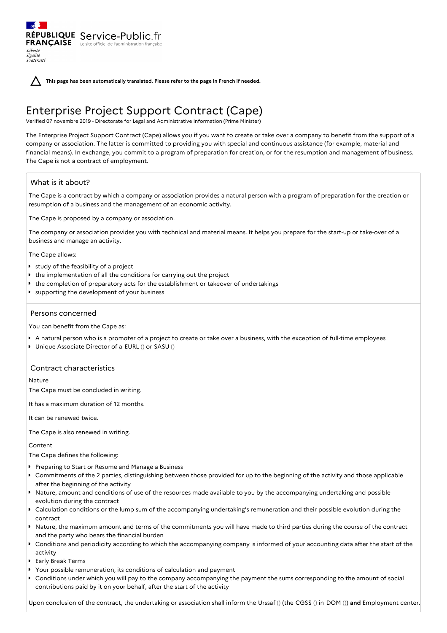**This page has been automatically translated. Please refer to the page in French if needed.**

# Enterprise Project Support Contract (Cape)

Verified 07 novembre 2019 - Directorate for Legal and Administrative Information (Prime Minister)

The Enterprise Project Support Contract (Cape) allows you if you want to create or take over a company to benefit from the support of a company or association. The latter is committed to providing you with special and continuous assistance (for example, material and financial means). In exchange, you commit to a program of preparation for creation, or for the resumption and management of business. The Cape is not a contract of employment.

# What is it about?

Liberté Égalité Fraternité

The Cape is a contract by which a company or association provides a natural person with a program of preparation for the creation or resumption of a business and the management of an economic activity.

The Cape is proposed by a company or association.

RÉPUBLIQUE Service-Public.fr **FRANÇAISE** Le site officiel de l'administration fran

The company or association provides you with technical and material means. It helps you prepare for the start-up or take-over of a business and manage an activity.

The Cape allows:

- **study of the feasibility of a project**
- the implementation of all the conditions for carrying out the project
- the completion of preparatory acts for the establishment or takeover of undertakings
- **D** supporting the development of your business

## Persons concerned

You can benefit from the Cape as:

- A natural person who is a promoter of a project to create or take over a business, with the exception of full-time employees
- Unique Associate Director of a EURL () or SASU ()

# Contract characteristics

## Nature

The Cape must be concluded in writing.

It has a maximum duration of 12 months.

It can be renewed twice.

The Cape is also renewed in writing.

## Content

The Cape defines the following:

- **Perigmaring to Start or Resume and Manage a Business**
- Commitments of the 2 parties, distinguishing between those provided for up to the beginning of the activity and those applicable after the beginning of the activity
- Nature, amount and conditions of use of the resources made available to you by the accompanying undertaking and possible evolution during the contract
- Calculation conditions or the lump sum of the accompanying undertaking's remuneration and their possible evolution during the contract
- Nature, the maximum amount and terms of the commitments you will have made to third parties during the course of the contract and the party who bears the financial burden
- Conditions and periodicity according to which the accompanying company is informed of your accounting data after the start of the activity
- Early Break Terms
- Your possible remuneration, its conditions of calculation and payment
- Conditions under which you will pay to the company accompanying the payment the sums corresponding to the amount of social contributions paid by it on your behalf, after the start of the activity

Upon conclusion of the contract, the undertaking or association shall inform the Urssaf () (the CGSS () in DOM ()) **and** Employment center.